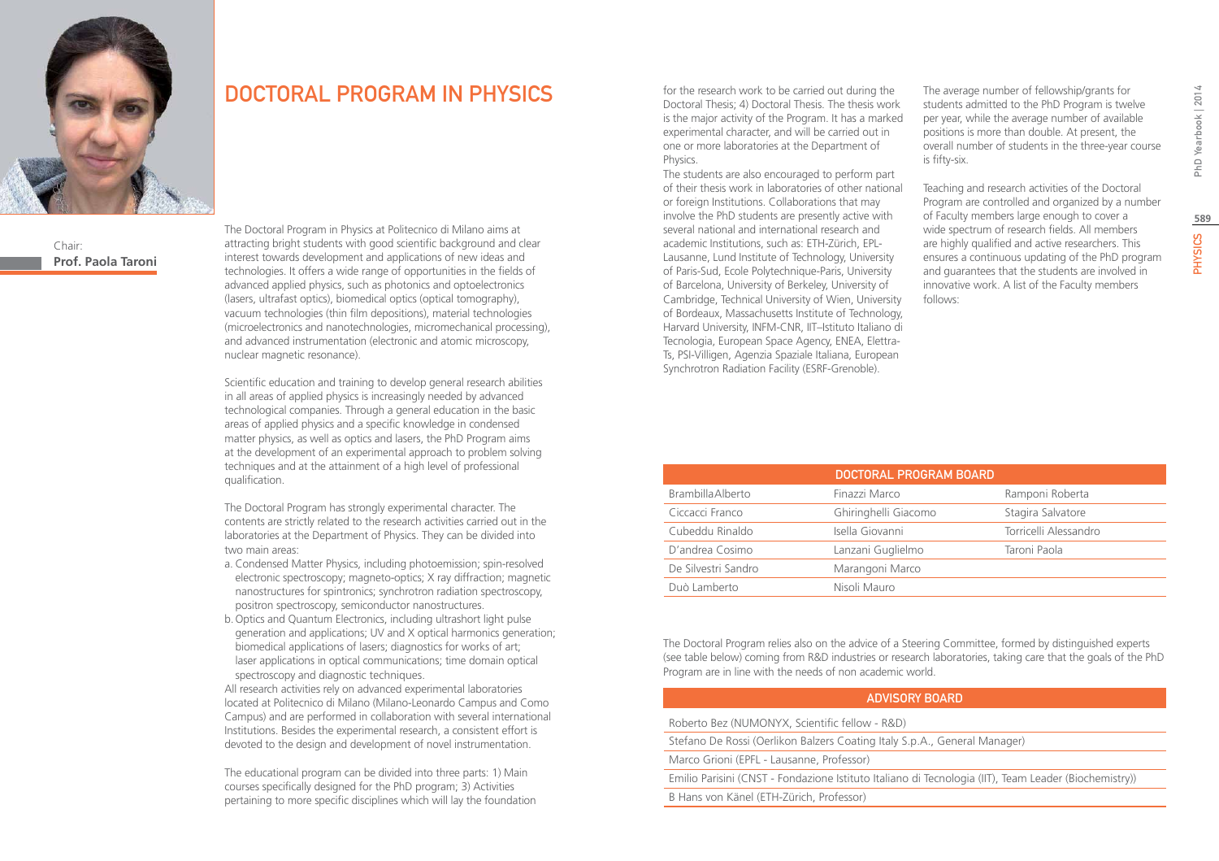

Chair: **Prof. Paola Taroni**

# DOCTORAL PROGRAM IN PHYSICS

The Doctoral Program in Physics at Politecnico di Milano aims at attracting bright students with good scientific background and clear interest towards development and applications of new ideas and technologies. It offers a wide range of opportunities in the fields of advanced applied physics, such as photonics and optoelectronics (lasers, ultrafast optics), biomedical optics (optical tomography), vacuum technologies (thin film depositions), material technologies (microelectronics and nanotechnologies, micromechanical processing), and advanced instrumentation (electronic and atomic microscopy, nuclear magnetic resonance).

Scientific education and training to develop general research abilities in all areas of applied physics is increasingly needed by advanced technological companies. Through a general education in the basic areas of applied physics and a specific knowledge in condensed matter physics, as well as optics and lasers, the PhD Program aims at the development of an experimental approach to problem solving techniques and at the attainment of a high level of professional qualification.

The Doctoral Program has strongly experimental character. The contents are strictly related to the research activities carried out in the laboratories at the Department of Physics. They can be divided into two main areas:

- a. Condensed Matter Physics, including photoemission; spin-resolved electronic spectroscopy; magneto-optics; X ray diffraction; magnetic nanostructures for spintronics; synchrotron radiation spectroscopy, positron spectroscopy, semiconductor nanostructures.
- b.Optics and Quantum Electronics, including ultrashort light pulse generation and applications; UV and X optical harmonics generation; biomedical applications of lasers; diagnostics for works of art; laser applications in optical communications; time domain optical spectroscopy and diagnostic techniques.

All research activities rely on advanced experimental laboratories located at Politecnico di Milano (Milano-Leonardo Campus and Como Campus) and are performed in collaboration with several international Institutions. Besides the experimental research, a consistent effort is devoted to the design and development of novel instrumentation.

The educational program can be divided into three parts: 1) Main courses specifically designed for the PhD program; 3) Activities pertaining to more specific disciplines which will lay the foundation for the research work to be carried out during the Doctoral Thesis; 4) Doctoral Thesis. The thesis work is the major activity of the Program. It has a marked experimental character, and will be carried out in one or more laboratories at the Department of Physics.

The students are also encouraged to perform part of their thesis work in laboratories of other national or foreign Institutions. Collaborations that may involve the PhD students are presently active with several national and international research and academic Institutions, such as: ETH-Zürich, EPL-Lausanne, Lund Institute of Technology, University of Paris-Sud, Ecole Polytechnique-Paris, University of Barcelona, University of Berkeley, University of Cambridge, Technical University of Wien, University of Bordeaux, Massachusetts Institute of Technology, Harvard University, INFM-CNR, IIT–Istituto Italiano di Tecnologia, European Space Agency, ENEA, Elettra-Ts, PSI-Villigen, Agenzia Spaziale Italiana, European Synchrotron Radiation Facility (ESRF-Grenoble).

The average number of fellowship/grants for students admitted to the PhD Program is twelve per year, while the average number of available positions is more than double. At present, the overall number of students in the three-year course is fifty-six.

Teaching and research activities of the Doctoral Program are controlled and organized by a number of Faculty members large enough to cover a wide spectrum of research fields. All members are highly qualified and active researchers. This ensures a continuous updating of the PhD program and guarantees that the students are involved in innovative work. A list of the Faculty members follows:

|                          | DOCTORAL PROGRAM BOARD |                       |
|--------------------------|------------------------|-----------------------|
| <b>Brambilla Alberto</b> | Finazzi Marco          | Ramponi Roberta       |
| Ciccacci Franco          | Ghiringhelli Giacomo   | Stagira Salvatore     |
| Cubeddu Rinaldo          | Isella Giovanni        | Torricelli Alessandro |
| D'andrea Cosimo          | Lanzani Guglielmo      | Taroni Paola          |
| De Silvestri Sandro      | Marangoni Marco        |                       |
| Duò Lamberto             | Nisoli Mauro           |                       |

The Doctoral Program relies also on the advice of a Steering Committee, formed by distinguished experts (see table below) coming from R&D industries or research laboratories, taking care that the goals of the PhD Program are in line with the needs of non academic world.

### Advisory Board

Roberto Bez (NUMONYX, Scientific fellow - R&D)

Stefano De Rossi (Oerlikon Balzers Coating Italy S.p.A., General Manager)

Marco Grioni (EPFL - Lausanne, Professor)

Emilio Parisini (CNST - Fondazione Istituto Italiano di Tecnologia (IIT), Team Leader (Biochemistry))

B Hans von Känel (ETH-Zürich, Professor)

**589**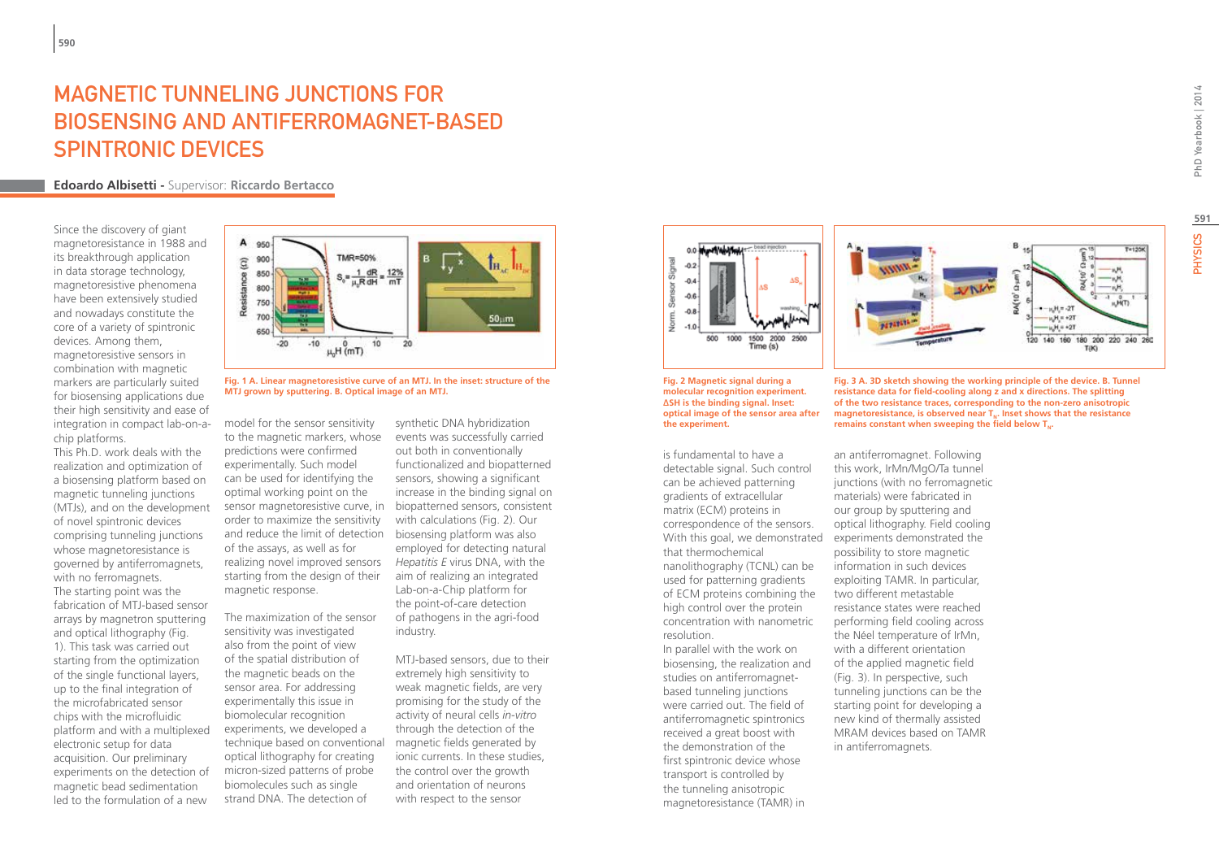# Magnetic tunneling junctions for biosensing and antiferromagnet-based spintronic devices

**Edoardo Albisetti -** Supervisor: **Riccardo Bertacco**

Since the discovery of giant magnetoresistance in 1988 and its breakthrough application in data storage technology, magnetoresistive phenomena have been extensively studied and nowadays constitute the core of a variety of spintronic devices. Among them,

magnetoresistive sensors in combination with magnetic markers are particularly suited for biosensing applications due their high sensitivity and ease of integration in compact lab-on-achip platforms.

This Ph.D. work deals with the realization and optimization of a biosensing platform based on magnetic tunneling junctions (MTJs), and on the development of novel spintronic devices comprising tunneling junctions whose magnetoresistance is governed by antiferromagnets, with no ferromagnets.

The starting point was the fabrication of MTJ-based sensor arrays by magnetron sputtering and optical lithography (Fig. 1). This task was carried out starting from the optimization of the single functional layers, up to the final integration of the microfabricated sensor chips with the microfluidic platform and with a multiplexed electronic setup for data acquisition. Our preliminary experiments on the detection of magnetic bead sedimentation led to the formulation of a new



**Fig. 1 A. Linear magnetoresistive curve of an MTJ. In the inset: structure of the MTJ grown by sputtering. B. Optical image of an MTJ.**

model for the sensor sensitivity to the magnetic markers, whose predictions were confirmed experimentally. Such model can be used for identifying the optimal working point on the sensor magnetoresistive curve, in biopatterned sensors, consistent order to maximize the sensitivity and reduce the limit of detection biosensing platform was also of the assays, as well as for realizing novel improved sensors starting from the design of their magnetic response.

The maximization of the sensor sensitivity was investigated also from the point of view of the spatial distribution of the magnetic beads on the sensor area. For addressing experimentally this issue in biomolecular recognition experiments, we developed a technique based on conventional optical lithography for creating micron-sized patterns of probe biomolecules such as single strand DNA. The detection of

synthetic DNA hybridization events was successfully carried out both in conventionally functionalized and biopatterned sensors, showing a significant increase in the binding signal on with calculations (Fig. 2). Our employed for detecting natural *Hepatitis E* virus DNA, with the aim of realizing an integrated Lab-on-a-Chip platform for the point-of-care detection of pathogens in the agri-food industry.

MTJ-based sensors, due to their extremely high sensitivity to weak magnetic fields, are very promising for the study of the activity of neural cells *in-vitro* through the detection of the magnetic fields generated by ionic currents. In these studies, the control over the growth and orientation of neurons with respect to the sensor





**Fig. 2 Magnetic signal during a molecular recognition experiment. ΔSH is the binding signal. Inset: optical image of the sensor area after the experiment.**

is fundamental to have a detectable signal. Such control can be achieved patterning gradients of extracellular matrix (ECM) proteins in correspondence of the sensors. With this goal, we demonstrated that thermochemical nanolithography (TCNL) can be used for patterning gradients of ECM proteins combining the high control over the protein concentration with nanometric resolution.

In parallel with the work on biosensing, the realization and studies on antiferromagnetbased tunneling junctions were carried out. The field of antiferromagnetic spintronics received a great boost with the demonstration of the first spintronic device whose transport is controlled by the tunneling anisotropic magnetoresistance (TAMR) in

**Fig. 3 A. 3D sketch showing the working principle of the device. B. Tunnel resistance data for field-cooling along z and x directions. The splitting of the two resistance traces, corresponding to the non-zero anisotropic**  magnetoresistance, is observed near T<sub>u</sub>. Inset shows that the resistance remains constant when sweeping the field below T<sub>u</sub>.

an antiferromagnet. Following this work, IrMn/MgO/Ta tunnel junctions (with no ferromagnetic materials) were fabricated in our group by sputtering and optical lithography. Field cooling experiments demonstrated the possibility to store magnetic information in such devices exploiting TAMR. In particular, two different metastable resistance states were reached performing field cooling across the Néel temperature of IrMn, with a different orientation of the applied magnetic field (Fig. 3). In perspective, such tunneling junctions can be the starting point for developing a new kind of thermally assisted MRAM devices based on TAMR in antiferromagnets.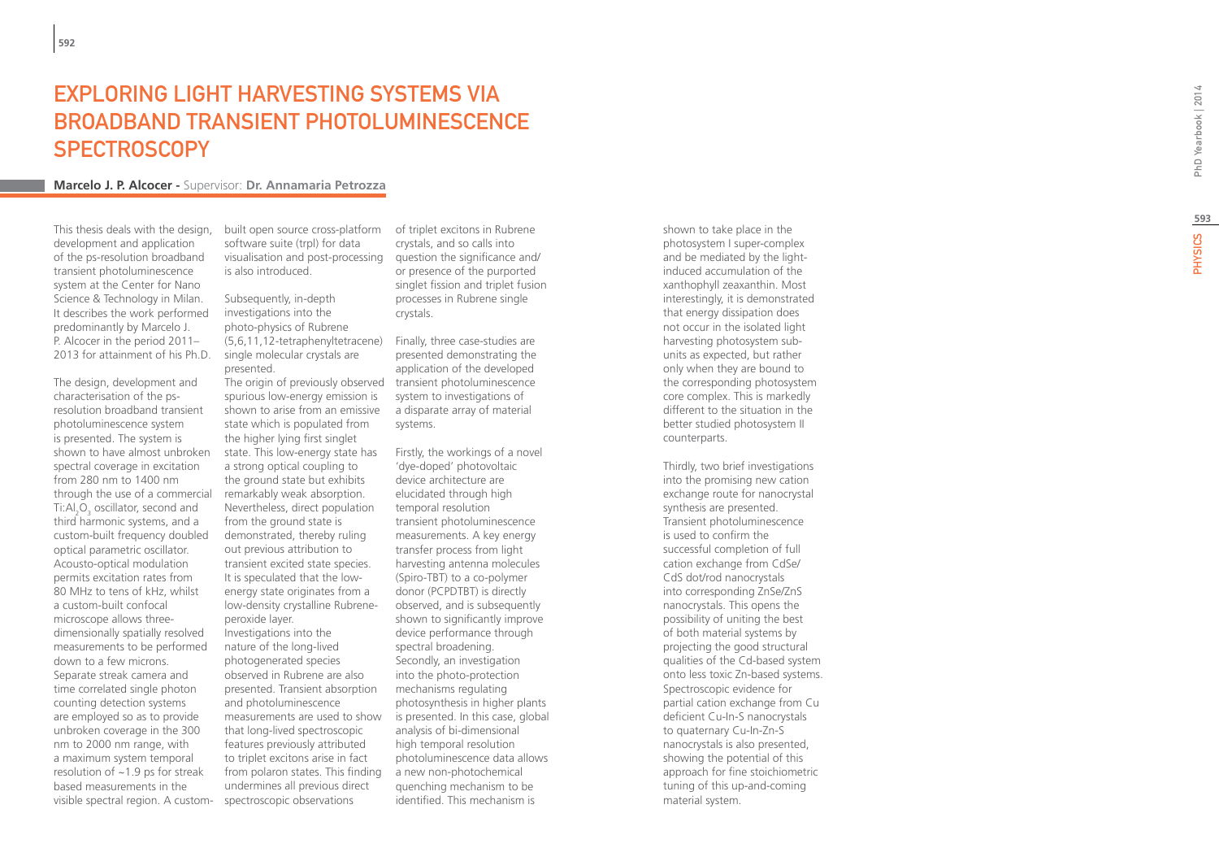# **EXPLORING LIGHT HARVESTING SYST<br>BROADBAND TRANSIENT PHOTOLUMI<br>SPECTROSCOPY<br><sub>Marcelo J. P. Alcocer - Supervisor: Dr. Annamaria Petrozza**</sub> EMS VIA BROADBAND TRANSIENT PHOTOLUMINESCENCE SP ECTROSCOPY

This thesis deals with the design. development and application of the ps-resolution broadband transient photoluminescence system at the Center for Nano Science & Technology in Milan. It describes the work performed predominantly by Marcelo J. P. Alcocer in the period 2011– 2013 for attainment of his Ph.D.

The design, development and characterisation of the psresolution broadband transient photoluminescence system is presented. The system is shown to have almost unbroken spectral coverage in excitation from 280 nm to 1400 nm through the use of a commercial Ti:Al<sub>2</sub>O<sub>3</sub> oscillator, second and third harmonic systems, and a custom-built frequency doubled optical parametric oscillator. Acousto-optical modulation permits excitation rates from 80 MHz to tens of kHz, whilst a custom-built confocal microscope allows threedimensionally spatially resolved measurements to be performed down to a few microns. Separate streak camera and time correlated single photon counting detection systems are employed so as to provide unbroken coverage in the 300 nm to 2000 nm range, with a maximum system temporal resolution of  $\sim$ 1.9 ps for streak based measurements in the visible spectral region. A custom-

built open source cross-platform of triplet excitons in Rubrene software suite (trpl) for data visualisation and post-processing is also introduced.

Subsequently, in-depth investigations into the photo-physics of Rubrene (5,6,11,12-tetraphenyltetracene) single molecular crystals are presented.

spurious low-energy emission is shown to arise from an emissive state which is populated from the higher lying first singlet state. This low-energy state has a strong optical coupling to the ground state but exhibits remarkably weak absorption. Nevertheless, direct population from the ground state is demonstrated, thereby ruling out previous attribution to transient excited state species. It is speculated that the lowenergy state originates from a low-density crystalline Rubreneperoxide layer. Investigations into the nature of the long-lived photogenerated species observed in Rubrene are also presented. Transient absorption and photoluminescence measurements are used to show that long-lived spectroscopic features previously attributed to triplet excitons arise in fact from polaron states. This finding undermines all previous direct spectroscopic observations

crystals, and so calls into question the significance and/ or presence of the purported singlet fission and triplet fusion processes in Rubrene single crystals.

The origin of previously observed transient photoluminescence Finally, three case-studies are presented demonstrating the application of the developed system to investigations of a disparate array of material systems.

> Firstly, the workings of a novel 'dye-doped' photovoltaic device architecture are elucidated through high temporal resolution transient photoluminescence measurements. A key energy transfer process from light harvesting antenna molecules (Spiro-TBT) to a co-polymer donor (PCPDTBT) is directly observed, and is subsequently shown to significantly improve device performance through spectral broadening. Secondly, an investigation into the photo-protection mechanisms regulating photosynthesis in higher plants is presented. In this case, global analysis of bi-dimensional high temporal resolution photoluminescence data allows a new non-photochemical quenching mechanism to be identified. This mechanism is

shown to take place in the photosystem I super-complex and be mediated by the lightinduced accumulation of the xanthophyll zeaxanthin. Most interestingly, it is demonstrated that energy dissipation does not occur in the isolated light harvesting photosystem subunits as expected, but rather only when they are bound to the corresponding photosystem core complex. This is markedly different to the situation in the better studied photosystem II counterparts.

Thirdly, two brief investigations into the promising new cation exchange route for nanocrystal synthesis are presented. Transient photoluminescence is used to confirm the successful completion of full cation exchange from CdSe/ CdS dot/rod nanocrystals into corresponding ZnSe/ZnS nanocrystals. This opens the possibility of uniting the best of both material systems by projecting the good structural qualities of the Cd-based system onto less toxic Zn-based systems. Spectroscopic evidence for partial cation exchange from Cu deficient Cu-In-S nanocrystals to quaternary Cu-In-Zn-S nanocrystals is also presented, showing the potential of this approach for fine stoichiometric tuning of this up-and-coming material system.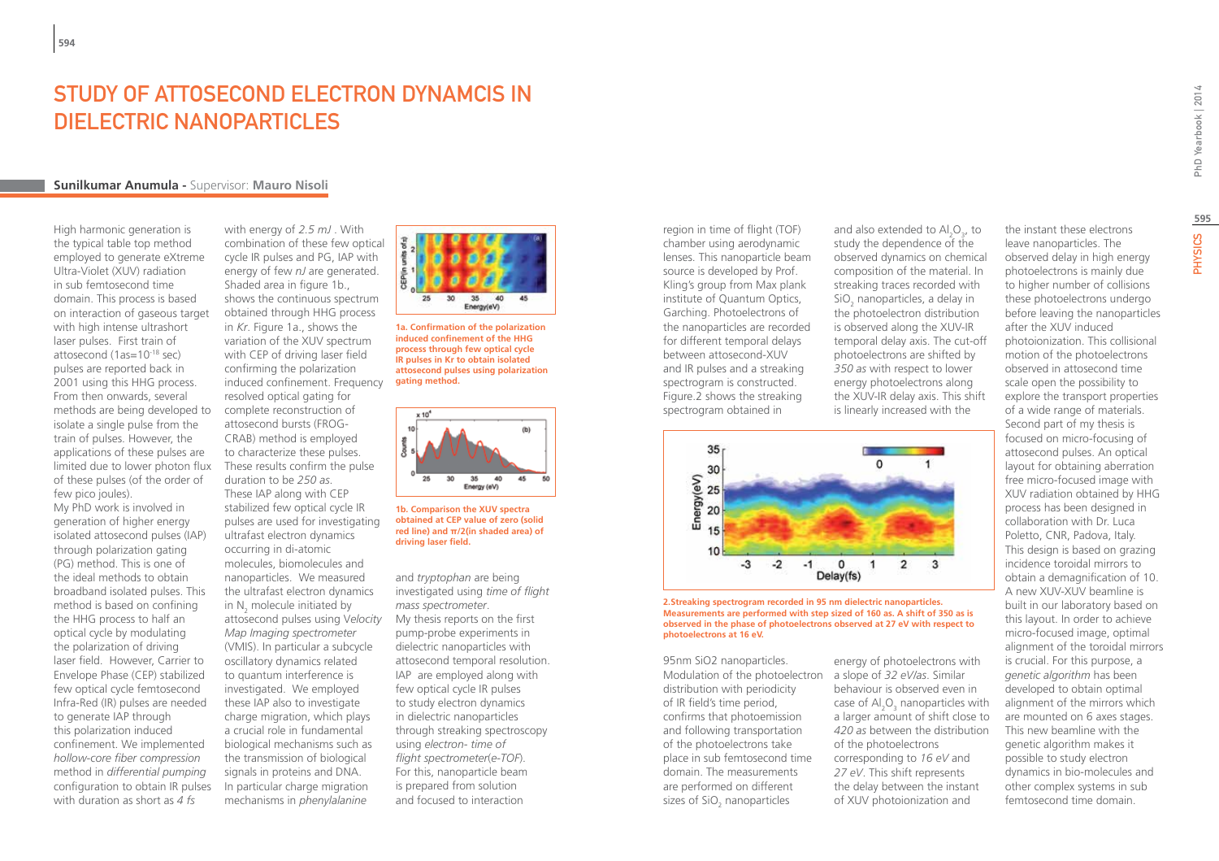# STUDY OF ATTOSFCOND FI FCTRON DYNAMCIS IN DIELECTRIC NANOPARTICLES

### **Sunilkumar Anumula -** Supervisor: **Mauro Nisoli**

High harmonic generation is the typical table top method employed to generate eXtreme Ultra-Violet (XUV) radiation in sub femtosecond time domain. This process is based on interaction of gaseous target with high intense ultrashort laser pulses. First train of attosecond (1as=10-18 sec) pulses are reported back in 2001 using this HHG process. From then onwards, several methods are being developed to isolate a single pulse from the train of pulses. However, the applications of these pulses are limited due to lower photon flux of these pulses (of the order of few pico joules).

My PhD work is involved in generation of higher energy isolated attosecond pulses (IAP) through polarization gating (PG) method. This is one of the ideal methods to obtain broadband isolated pulses. This method is based on confining the HHG process to half an optical cycle by modulating the polarization of driving laser field. However, Carrier to Envelope Phase (CEP) stabilized few optical cycle femtosecond Infra-Red (IR) pulses are needed to generate IAP through this polarization induced confinement. We implemented *hollow-core fiber compression* method in *differential pumping* configuration to obtain IR pulses with duration as short as *4 fs*

with energy of *2.5 mJ* . With combination of these few optical cycle IR pulses and PG, IAP with energy of few *nJ* are generated. Shaded area in figure 1b., shows the continuous spectrum obtained through HHG process in *Kr*. Figure 1a., shows the variation of the XUV spectrum with CEP of driving laser field confirming the polarization induced confinement. Frequency resolved optical gating for complete reconstruction of attosecond bursts (FROG-CRAB) method is employed to characterize these pulses. These results confirm the pulse duration to be *250 as*. These IAP along with CEP stabilized few optical cycle IR pulses are used for investigating ultrafast electron dynamics occurring in di-atomic molecules, biomolecules and nanoparticles. We measured the ultrafast electron dynamics in  $N_2$  molecule initiated by attosecond pulses using V*elocity Map Imaging spectrometer* (VMIS). In particular a subcycle oscillatory dynamics related to quantum interference is investigated. We employed these IAP also to investigate charge migration, which plays a crucial role in fundamental biological mechanisms such as the transmission of biological signals in proteins and DNA. In particular charge migration mechanisms in *phenylalanine*



**1a. Confirmation of the polarization induced confinement of the HHG process through few optical cycle IR pulses in Kr to obtain isolated attosecond pulses using polarization gating method.** 



**1b. Comparison the XUV spectra obtained at CEP value of zero (solid red line) and π/2(in shaded area) of driving laser field.**

and *tryptophan* are being investigated using *time of flight mass spectrometer*. My thesis reports on the first pump-probe experiments in dielectric nanoparticles with attosecond temporal resolution. IAP are employed along with few optical cycle IR pulses to study electron dynamics in dielectric nanoparticles through streaking spectroscopy using *electron- time of flight spectrometer*(*e-TOF*). For this, nanoparticle beam is prepared from solution and focused to interaction

region in time of flight (TOF) chamber using aerodynamic lenses. This nanoparticle beam source is developed by Prof. Kling's group from Max plank institute of Quantum Optics, Garching. Photoelectrons of the nanoparticles are recorded for different temporal delays between attosecond-XUV and IR pulses and a streaking spectrogram is constructed. Figure.2 shows the streaking spectrogram obtained in



### **2.Streaking spectrogram recorded in 95 nm dielectric nanoparticles. Measurements are performed with step sized of 160 as. A shift of 350 as is observed in the phase of photoelectrons observed at 27 eV with respect to photoelectrons at 16 eV.**

95nm SiO2 nanoparticles. Modulation of the photoelectron a slope of *32 eV/as*. Similar distribution with periodicity of IR field's time period, confirms that photoemission and following transportation of the photoelectrons take place in sub femtosecond time domain. The measurements are performed on different sizes of  $\mathsf{SiO}_2$  nanoparticles

energy of photoelectrons with behaviour is observed even in case of  $\text{Al}_2\text{O}_3$  nanoparticles with a larger amount of shift close to *420 as* between the distribution of the photoelectrons corresponding to *16 eV* and *27 eV*. This shift represents the delay between the instant of XUV photoionization and

and also extended to  $\text{Al}_2\text{O}_3$ , to study the dependence of the observed dynamics on chemical composition of the material. In streaking traces recorded with  $SiO<sub>2</sub>$  nanoparticles, a delay in the photoelectron distribution is observed along the XUV-IR temporal delay axis. The cut-off photoelectrons are shifted by *350 as* with respect to lower energy photoelectrons along the XUV-IR delay axis. This shift is linearly increased with the the instant these electrons leave nanoparticles. The observed delay in high energy photoelectrons is mainly due to higher number of collisions these photoelectrons undergo before leaving the nanoparticles after the XUV induced

photoionization. This collisional motion of the photoelectrons observed in attosecond time scale open the possibility to explore the transport properties of a wide range of materials. Second part of my thesis is focused on micro-focusing of attosecond pulses. An optical layout for obtaining aberration free micro-focused image with XUV radiation obtained by HHG process has been designed in collaboration with Dr. Luca Poletto, CNR, Padova, Italy. This design is based on grazing incidence toroidal mirrors to obtain a demagnification of 10. A new XUV-XUV beamline is built in our laboratory based on this layout. In order to achieve micro-focused image, optimal alignment of the toroidal mirrors is crucial. For this purpose, a *genetic algorithm* has been developed to obtain optimal alignment of the mirrors which are mounted on 6 axes stages. This new beamline with the genetic algorithm makes it possible to study electron dynamics in bio-molecules and other complex systems in sub femtosecond time domain.

**595**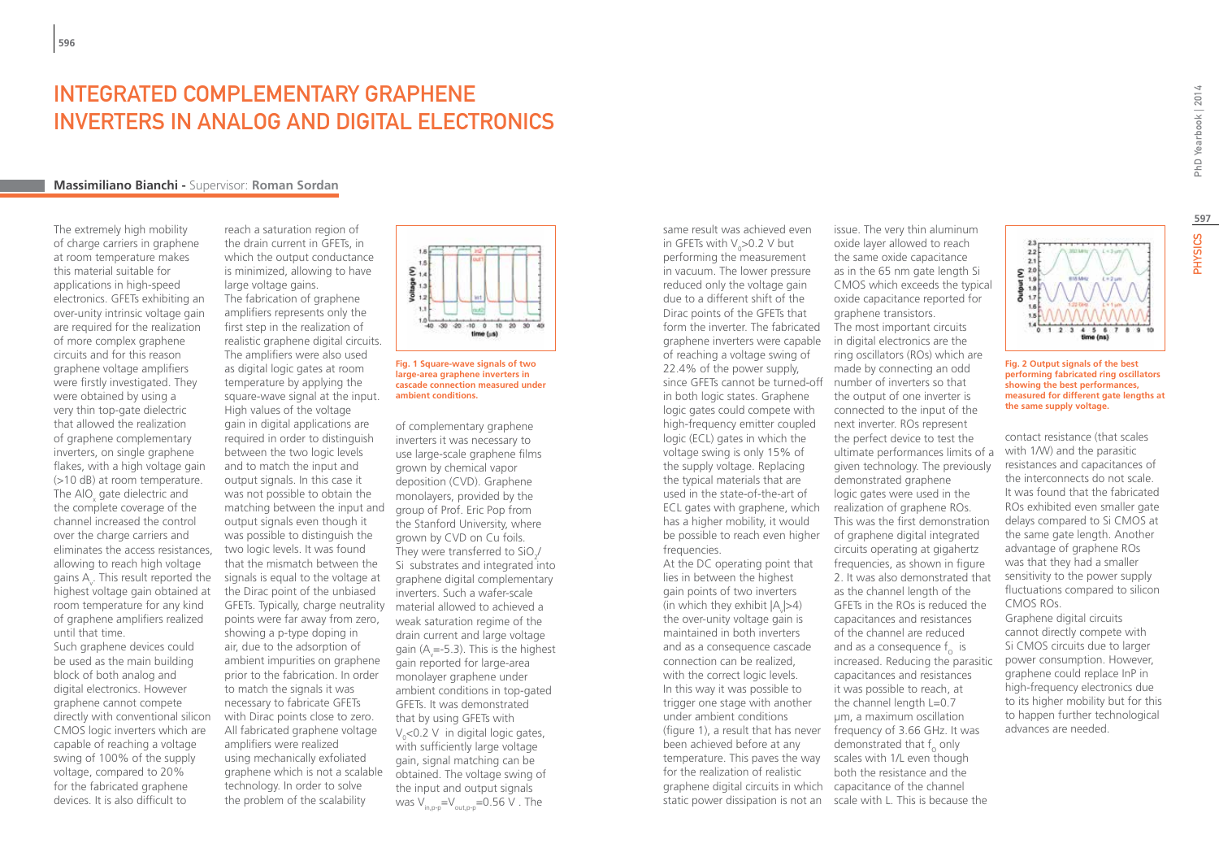# INTEGRATED COMPI EMENTARY GRAPHENE inverters in analog and digital electronics

### **Massimiliano Bianchi -** Supervisor: **Roman Sordan**

The extremely high mobility of charge carriers in graphene at room temperature makes this material suitable for applications in high-speed electronics. GFETs exhibiting an over-unity intrinsic voltage gain are required for the realization of more complex graphene circuits and for this reason graphene voltage amplifiers were firstly investigated. They were obtained by using a very thin top-gate dielectric that allowed the realization of graphene complementary inverters, on single graphene flakes, with a high voltage gain (>10 dB) at room temperature. The AlO $_{\mathrm{x}}$  gate dielectric and the complete coverage of the channel increased the control over the charge carriers and eliminates the access resistances, allowing to reach high voltage gains  $A_{\mathsf{v}}$ . This result reported the highest voltage gain obtained at room temperature for any kind of graphene amplifiers realized until that time.

Such graphene devices could be used as the main building block of both analog and digital electronics. However graphene cannot compete directly with conventional silicon CMOS logic inverters which are capable of reaching a voltage swing of 100% of the supply voltage, compared to 20% for the fabricated graphene devices. It is also difficult to

reach a saturation region of the drain current in GFETs, in which the output conductance is minimized, allowing to have large voltage gains. The fabrication of graphene amplifiers represents only the first step in the realization of realistic graphene digital circuits. The amplifiers were also used as digital logic gates at room temperature by applying the square-wave signal at the input. High values of the voltage gain in digital applications are required in order to distinguish between the two logic levels and to match the input and output signals. In this case it was not possible to obtain the matching between the input and output signals even though it was possible to distinguish the two logic levels. It was found that the mismatch between the signals is equal to the voltage at the Dirac point of the unbiased GFETs. Typically, charge neutrality material allowed to achieved a points were far away from zero, showing a p-type doping in air, due to the adsorption of ambient impurities on graphene prior to the fabrication. In order to match the signals it was necessary to fabricate GFETs with Dirac points close to zero. All fabricated graphene voltage amplifiers were realized using mechanically exfoliated graphene which is not a scalable technology. In order to solve the problem of the scalability





of complementary graphene inverters it was necessary to use large-scale graphene films grown by chemical vapor deposition (CVD). Graphene monolayers, provided by the group of Prof. Eric Pop from the Stanford University, where grown by CVD on Cu foils. They were transferred to SiO<sub>2</sub> Si substrates and integrated into graphene digital complementary inverters. Such a wafer-scale weak saturation regime of the drain current and large voltage gain (A<sub>v</sub>=-5.3). This is the highest gain reported for large-area monolayer graphene under ambient conditions in top-gated GFETs. It was demonstrated that by using GFETs with  $V_{o}$ <0.2 V in digital logic gates, with sufficiently large voltage gain, signal matching can be obtained. The voltage swing of the input and output signals was  $V_{\text{intra}}=V_{\text{outtra}}=0.56 \text{ V}$ . The

same result was achieved even in GFETs with  $V_0 > 0.2$  V but performing the measurement in vacuum. The lower pressure reduced only the voltage gain due to a different shift of the Dirac points of the GFETs that form the inverter. The fabricated graphene inverters were capable of reaching a voltage swing of 22.4% of the power supply, in both logic states. Graphene logic gates could compete with high-frequency emitter coupled logic (ECL) gates in which the voltage swing is only 15% of the supply voltage. Replacing the typical materials that are used in the state-of-the-art of ECL gates with graphene, which has a higher mobility, it would be possible to reach even higher frequencies.

At the DC operating point that lies in between the highest gain points of two inverters (in which they exhibit  $|A_{\text{v}}|{>}4$ ) the over-unity voltage gain is maintained in both inverters and as a consequence cascade connection can be realized, with the correct logic levels. In this way it was possible to trigger one stage with another under ambient conditions (figure 1), a result that has never frequency of 3.66 GHz. It was been achieved before at any temperature. This paves the way scales with 1/L even though for the realization of realistic graphene digital circuits in which capacitance of the channel static power dissipation is not an scale with L. This is because the

since GFETs cannot be turned-off number of inverters so that issue. The very thin aluminum oxide layer allowed to reach the same oxide capacitance as in the 65 nm gate length Si CMOS which exceeds the typical oxide capacitance reported for graphene transistors. The most important circuits in digital electronics are the ring oscillators (ROs) which are made by connecting an odd the output of one inverter is connected to the input of the next inverter. ROs represent the perfect device to test the ultimate performances limits of a given technology. The previously demonstrated graphene logic gates were used in the realization of graphene ROs. This was the first demonstration of graphene digital integrated circuits operating at gigahertz frequencies, as shown in figure 2. It was also demonstrated that as the channel length of the GFETs in the ROs is reduced the capacitances and resistances of the channel are reduced and as a consequence  $f_{\alpha}$  is increased. Reducing the parasitic capacitances and resistances it was possible to reach, at the channel length L=0.7

µm, a maximum oscillation demonstrated that  $f_0$  only both the resistance and the **597**PHYSICS



**the same supply voltage.**

 $22$  $2.1$  $\sum_{19}^{21}$ 

contact resistance (that scales with 1/W) and the parasitic resistances and capacitances of the interconnects do not scale. It was found that the fabricated ROs exhibited even smaller gate delays compared to Si CMOS at the same gate length. Another advantage of graphene ROs was that they had a smaller sensitivity to the power supply fluctuations compared to silicon CMOS ROs.

Graphene digital circuits cannot directly compete with Si CMOS circuits due to larger power consumption. However, graphene could replace InP in high-frequency electronics due to its higher mobility but for this to happen further technological advances are needed.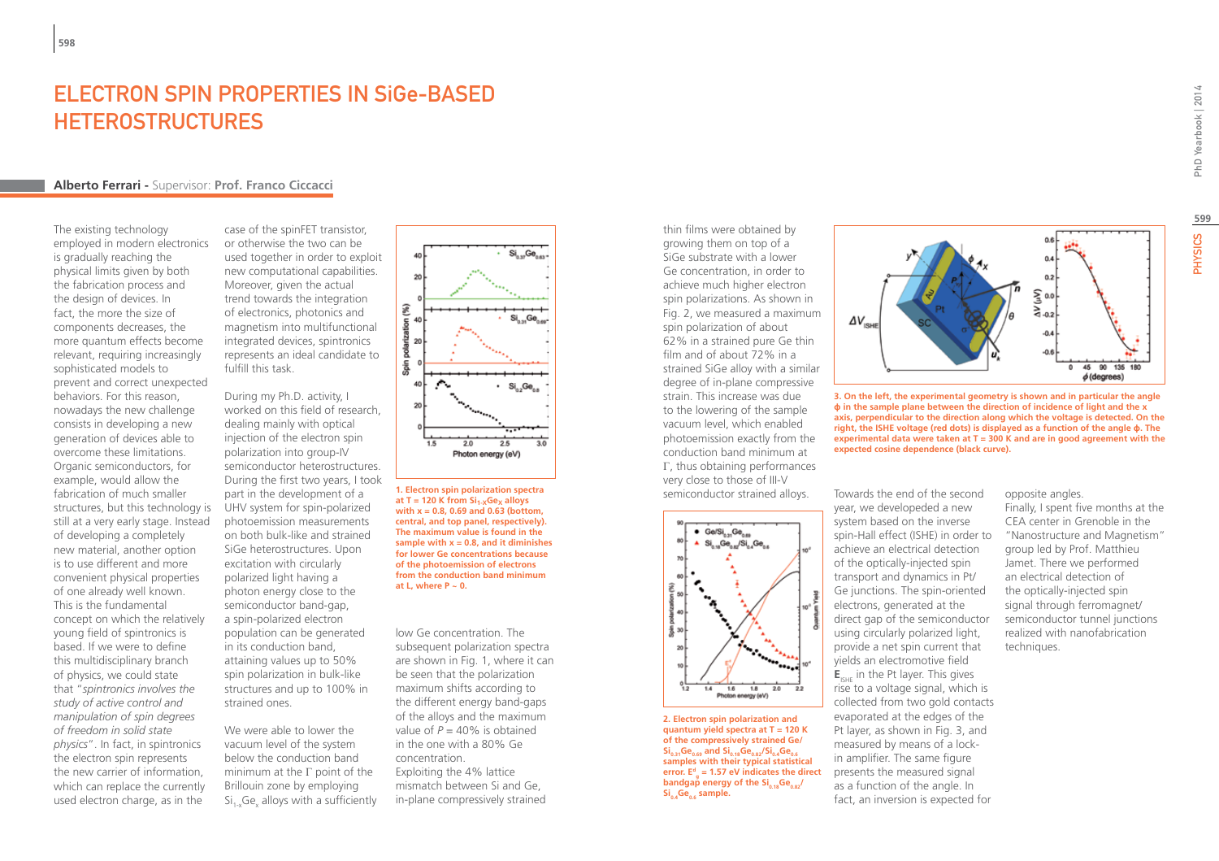# ELECTRON SPIN PROPERTIES IN SiGe-BASED **HETEROSTRUCTURES**

## **Alberto Ferrari -** Supervisor: **Prof. Franco Ciccacci**

The existing technology employed in modern electronics is gradually reaching the physical limits given by both the fabrication process and the design of devices. In fact, the more the size of components decreases, the more quantum effects become relevant, requiring increasingly sophisticated models to prevent and correct unexpected behaviors. For this reason, nowadays the new challenge consists in developing a new generation of devices able to overcome these limitations. Organic semiconductors, for example, would allow the fabrication of much smaller structures, but this technology is still at a very early stage. Instead of developing a completely new material, another option is to use different and more convenient physical properties of one already well known. This is the fundamental concept on which the relatively young field of spintronics is based. If we were to define this multidisciplinary branch of physics, we could state that "*spintronics involves the study of active control and manipulation of spin degrees of freedom in solid state physics*". In fact, in spintronics the electron spin represents the new carrier of information, which can replace the currently used electron charge, as in the

case of the spinFET transistor, or otherwise the two can be used together in order to exploit new computational capabilities. Moreover, given the actual trend towards the integration of electronics, photonics and magnetism into multifunctional integrated devices, spintronics represents an ideal candidate to fulfill this task.

During my Ph.D. activity, I worked on this field of research, dealing mainly with optical injection of the electron spin polarization into group-IV semiconductor heterostructures. During the first two years, I took part in the development of a UHV system for spin-polarized photoemission measurements on both bulk-like and strained SiGe heterostructures. Upon excitation with circularly polarized light having a photon energy close to the semiconductor band-gap, a spin-polarized electron population can be generated in its conduction band, attaining values up to 50% spin polarization in bulk-like structures and up to 100% in strained ones.

We were able to lower the vacuum level of the system below the conduction band minimum at the Γ point of the Brillouin zone by employing  $\overline{\text{Si}}_{1-x}\text{Ge}_{x}$  alloys with a sufficiently



**1. Electron spin polarization spectra**  at  $T = 120$  K from  $Si_{1-X}Ge_{X}$  alloys **with x = 0.8, 0.69 and 0.63 (bottom, central, and top panel, respectively). The maximum value is found in the sample with x = 0.8, and it diminishes for lower Ge concentrations because of the photoemission of electrons from the conduction band minimum**  at L, where  $P \sim 0$ .

low Ge concentration. The subsequent polarization spectra are shown in Fig. 1, where it can be seen that the polarization maximum shifts according to the different energy band-gaps of the alloys and the maximum value of  $P = 40\%$  is obtained in the one with a 80% Ge concentration. Exploiting the 4% lattice mismatch between Si and Ge, in-plane compressively strained

thin films were obtained by growing them on top of a SiGe substrate with a lower Ge concentration, in order to achieve much higher electron spin polarizations. As shown in Fig. 2, we measured a maximum spin polarization of about 62% in a strained pure Ge thin film and of about 72% in a strained SiGe alloy with a similar degree of in-plane compressive strain. This increase was due to the lowering of the sample vacuum level, which enabled photoemission exactly from the conduction band minimum at Γ, thus obtaining performances very close to those of III-V semiconductor strained alloys. Towards the end of the second



**2. Electron spin polarization and quantum yield spectra at T = 120 K of the compressively strained Ge/**  $\sin^2 96.68$  and  $\sin^2 96.82$   $\sin^2 96.66$ **samples with their typical statistical error. Ed g = 1.57 eV indicates the direct bandgap** energy of the Si<sub>0.18</sub>Ge<sub>0.82</sub>/ Si<sub>0.4</sub>Ge<sub>0.6</sub> sample.



**3. On the left, the experimental geometry is shown and in particular the angle ϕ in the sample plane between the direction of incidence of light and the x axis, perpendicular to the direction along which the voltage is detected. On the right, the ISHE voltage (red dots) is displayed as a function of the angle ϕ. The experimental data were taken at T = 300 K and are in good agreement with the expected cosine dependence (black curve).**

year, we developeded a new system based on the inverse spin-Hall effect (ISHE) in order to achieve an electrical detection of the optically-injected spin transport and dynamics in Pt/ Ge junctions. The spin-oriented electrons, generated at the direct gap of the semiconductor using circularly polarized light, provide a net spin current that yields an electromotive field **E**<sub>ISHE</sub> in the Pt layer. This gives rise to a voltage signal, which is collected from two gold contacts evaporated at the edges of the Pt layer, as shown in Fig. 3, and measured by means of a lockin amplifier. The same figure presents the measured signal as a function of the angle. In fact, an inversion is expected for

opposite angles. Finally, I spent five months at the CEA center in Grenoble in the "Nanostructure and Magnetism" group led by Prof. Matthieu Jamet. There we performed an electrical detection of the optically-injected spin signal through ferromagnet/ semiconductor tunnel junctions realized with nanofabrication techniques.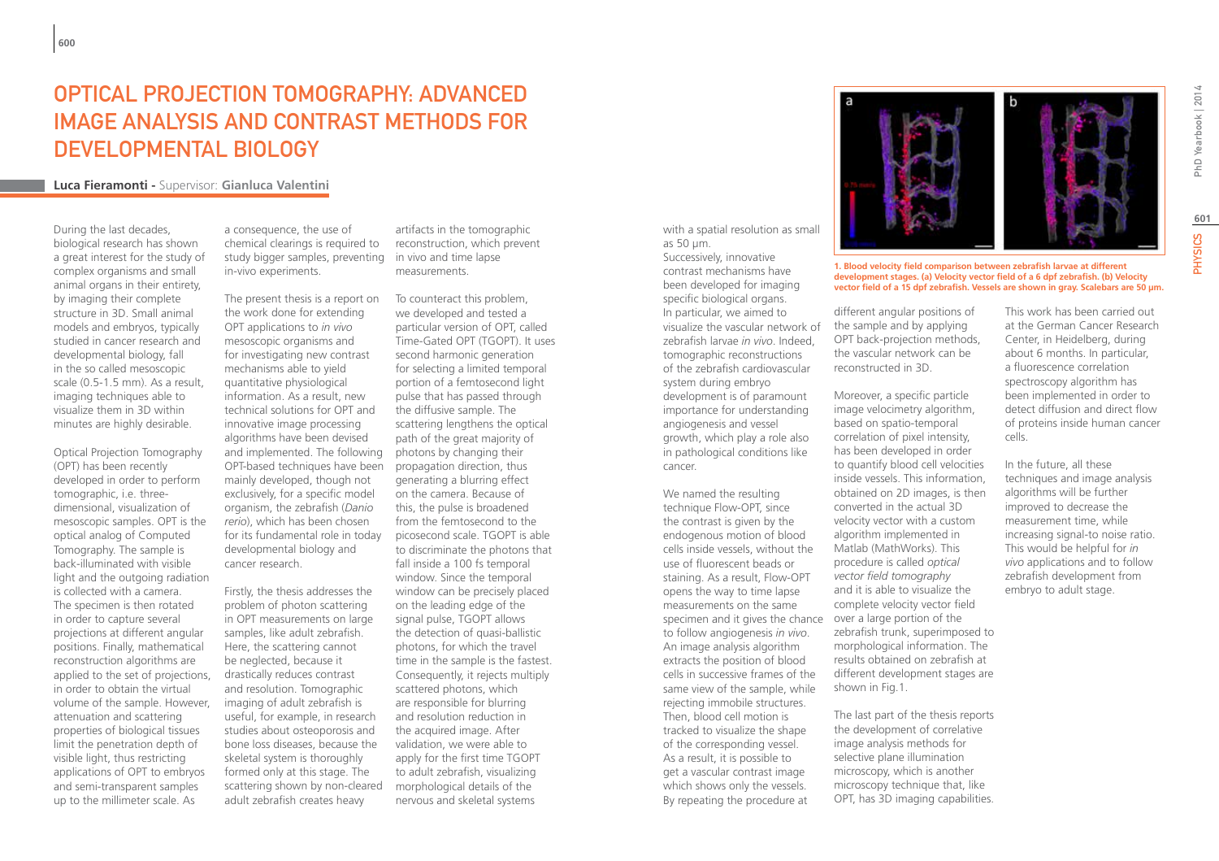# OPTICAL PROJECTION TOMOGRAPHY: ADVANCED IMAGE ANALYSIS AND CONTRAST METHODS FOR DEVELOPMENTAL BIOLOGY

# **Luca Fieramonti -** Supervisor: **Gianluca Valentini**

During the last decades, biological research has shown a great interest for the study of complex organisms and small animal organs in their entirety, by imaging their complete structure in 3D. Small animal models and embryos, typically studied in cancer research and developmental biology, fall in the so called mesoscopic scale (0.5-1.5 mm). As a result, imaging techniques able to visualize them in 3D within minutes are highly desirable.

Optical Projection Tomography (OPT) has been recently developed in order to perform tomographic, i.e. threedimensional, visualization of mesoscopic samples. OPT is the optical analog of Computed Tomography. The sample is back-illuminated with visible light and the outgoing radiation is collected with a camera. The specimen is then rotated in order to capture several projections at different angular positions. Finally, mathematical reconstruction algorithms are applied to the set of projections, in order to obtain the virtual volume of the sample. However, attenuation and scattering properties of biological tissues limit the penetration depth of visible light, thus restricting applications of OPT to embryos and semi-transparent samples up to the millimeter scale. As

a consequence, the use of chemical clearings is required to study bigger samples, preventing in-vivo experiments.

The present thesis is a report on the work done for extending OPT applications to *in vivo* mesoscopic organisms and for investigating new contrast mechanisms able to yield quantitative physiological information. As a result, new technical solutions for OPT and innovative image processing algorithms have been devised and implemented. The following photons by changing their OPT-based techniques have been mainly developed, though not exclusively, for a specific model organism, the zebrafish (*Danio rerio*), which has been chosen for its fundamental role in today developmental biology and cancer research.

Firstly, the thesis addresses the problem of photon scattering in OPT measurements on large samples, like adult zebrafish. Here, the scattering cannot be neglected, because it drastically reduces contrast and resolution. Tomographic imaging of adult zebrafish is useful, for example, in research studies about osteoporosis and bone loss diseases, because the skeletal system is thoroughly formed only at this stage. The scattering shown by non-cleared adult zebrafish creates heavy

artifacts in the tomographic reconstruction, which prevent in vivo and time lapse measurements.

as 50 µm.

cancer.

We named the resulting technique Flow-OPT, since the contrast is given by the endogenous motion of blood cells inside vessels, without the use of fluorescent beads or staining. As a result, Flow-OPT opens the way to time lapse measurements on the same

to follow angiogenesis *in vivo*. An image analysis algorithm extracts the position of blood cells in successive frames of the same view of the sample, while rejecting immobile structures. Then, blood cell motion is tracked to visualize the shape of the corresponding vessel. As a result, it is possible to get a vascular contrast image which shows only the vessels. By repeating the procedure at

Successively, innovative contrast mechanisms have been developed for imaging specific biological organs. In particular, we aimed to visualize the vascular network of zebrafish larvae *in vivo*. Indeed, tomographic reconstructions of the zebrafish cardiovascular system during embryo development is of paramount importance for understanding angiogenesis and vessel growth, which play a role also in pathological conditions like

To counteract this problem, we developed and tested a particular version of OPT, called Time-Gated OPT (TGOPT). It uses second harmonic generation for selecting a limited temporal portion of a femtosecond light pulse that has passed through the diffusive sample. The scattering lengthens the optical path of the great majority of propagation direction, thus generating a blurring effect on the camera. Because of this, the pulse is broadened from the femtosecond to the picosecond scale. TGOPT is able to discriminate the photons that fall inside a 100 fs temporal window. Since the temporal window can be precisely placed on the leading edge of the signal pulse, TGOPT allows the detection of quasi-ballistic photons, for which the travel time in the sample is the fastest. Consequently, it rejects multiply scattered photons, which are responsible for blurring and resolution reduction in the acquired image. After validation, we were able to apply for the first time TGOPT to adult zebrafish, visualizing morphological details of the nervous and skeletal systems



**1. Blood velocity field comparison between zebrafish larvae at different development stages. (a) Velocity vector field of a 6 dpf zebrafish. (b) Velocity vector field of a 15 dpf zebrafish. Vessels are shown in gray. Scalebars are 50 µm.**

different angular positions of the sample and by applying OPT back-projection methods, the vascular network can be reconstructed in 3D.

specimen and it gives the chance over a large portion of the Moreover, a specific particle image velocimetry algorithm, based on spatio-temporal correlation of pixel intensity, has been developed in order to quantify blood cell velocities inside vessels. This information, obtained on 2D images, is then converted in the actual 3D velocity vector with a custom algorithm implemented in Matlab (MathWorks). This procedure is called *optical vector field tomography* and it is able to visualize the complete velocity vector field zebrafish trunk, superimposed to morphological information. The results obtained on zebrafish at different development stages are shown in Fig.1.

> The last part of the thesis reports the development of correlative image analysis methods for selective plane illumination microscopy, which is another microscopy technique that, like OPT, has 3D imaging capabilities.

PhD Yearbook | 2014

This work has been carried out at the German Cancer Research Center, in Heidelberg, during about 6 months. In particular, a fluorescence correlation spectroscopy algorithm has been implemented in order to detect diffusion and direct flow of proteins inside human cancer cells.

In the future, all these techniques and image analysis algorithms will be further improved to decrease the measurement time, while increasing signal-to noise ratio. This would be helpful for *in vivo* applications and to follow zebrafish development from embryo to adult stage.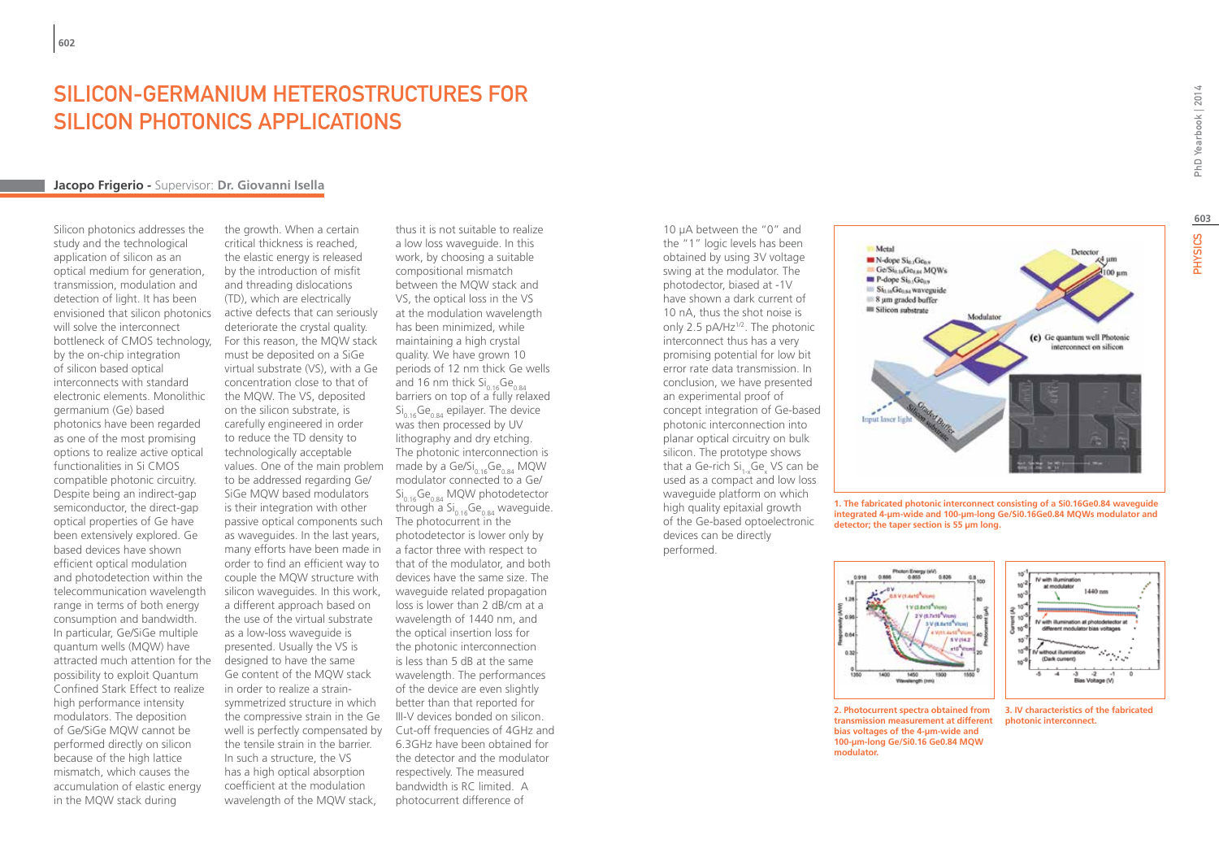# Silicon-Germanium Heterostructures for SILICON PHOTONICS APPLICATIONS

### **Jacopo Frigerio -** Supervisor: **Dr. Giovanni Isella**

Silicon photonics addresses the study and the technological application of silicon as an optical medium for generation, transmission, modulation and detection of light. It has been envisioned that silicon photonics will solve the interconnect bottleneck of CMOS technology, by the on-chip integration of silicon based optical interconnects with standard electronic elements. Monolithic germanium (Ge) based photonics have been regarded as one of the most promising options to realize active optical functionalities in Si CMOS compatible photonic circuitry. Despite being an indirect-gap semiconductor, the direct-gap optical properties of Ge have been extensively explored. Ge based devices have shown efficient optical modulation and photodetection within the telecommunication wavelength range in terms of both energy consumption and bandwidth. In particular, Ge/SiGe multiple quantum wells (MQW) have attracted much attention for the possibility to exploit Quantum Confined Stark Effect to realize high performance intensity modulators. The deposition of Ge/SiGe MQW cannot be performed directly on silicon because of the high lattice mismatch, which causes the accumulation of elastic energy in the MQW stack during

the growth. When a certain critical thickness is reached, the elastic energy is released by the introduction of misfit and threading dislocations (TD), which are electrically active defects that can seriously deteriorate the crystal quality. For this reason, the MQW stack must be deposited on a SiGe virtual substrate (VS), with a Ge concentration close to that of the MQW. The VS, deposited on the silicon substrate, is carefully engineered in order to reduce the TD density to technologically acceptable values. One of the main problem ande by a Ge/Si<sub>0.16</sub>Ge<sub>0.84</sub> MQW to be addressed regarding Ge/ SiGe MQW based modulators is their integration with other passive optical components such The photocurrent in the as waveguides. In the last years, many efforts have been made in a factor three with respect to order to find an efficient way to couple the MQW structure with silicon waveguides. In this work, a different approach based on the use of the virtual substrate as a low-loss waveguide is presented. Usually the VS is designed to have the same Ge content of the MQW stack in order to realize a strainsymmetrized structure in which the compressive strain in the Ge well is perfectly compensated by the tensile strain in the barrier. In such a structure, the VS has a high optical absorption coefficient at the modulation wavelength of the MQW stack,

thus it is not suitable to realize a low loss waveguide. In this work, by choosing a suitable compositional mismatch between the MQW stack and VS, the optical loss in the VS at the modulation wavelength has been minimized, while maintaining a high crystal quality. We have grown 10 periods of 12 nm thick Ge wells and 16 nm thick  $Si<sub>0.16</sub>Ge<sub>0.84</sub>$ barriers on top of a fully relaxed  $Si<sub>0.16</sub>Ge<sub>0.84</sub>$  epilayer. The device was then processed by UV lithography and dry etching. The photonic interconnection is modulator connected to a Ge/  $\mathrm{Si}_{0.16}\mathrm{Ge}_{0.84}$  MQW photodetector through a  $Si<sub>0.16</sub>Ge<sub>0.84</sub>$  waveguide. photodetector is lower only by that of the modulator, and both devices have the same size. The waveguide related propagation loss is lower than 2 dB/cm at a wavelength of 1440 nm, and the optical insertion loss for the photonic interconnection is less than 5 dB at the same wavelength. The performances of the device are even slightly better than that reported for III-V devices bonded on silicon. Cut-off frequencies of 4GHz and 6.3GHz have been obtained for the detector and the modulator respectively. The measured bandwidth is RC limited. A photocurrent difference of

10 µA between the "0" and the "1" logic levels has been obtained by using 3V voltage swing at the modulator. The photodector, biased at -1V have shown a dark current of 10 nA, thus the shot noise is only 2.5 pA/Hz<sup>1/2</sup>. The photonic interconnect thus has a very promising potential for low bit error rate data transmission. In conclusion, we have presented an experimental proof of concept integration of Ge-based photonic interconnection into planar optical circuitry on bulk silicon. The prototype shows that a Ge-rich Si<sub>1-x</sub>Ge<sub>x</sub> VS can be used as a compact and low loss waveguide platform on which high quality epitaxial growth of the Ge-based optoelectronic devices can be directly performed.



**1. The fabricated photonic interconnect consisting of a Si0.16Ge0.84 waveguide integrated 4-µm-wide and 100-µm-long Ge/Si0.16Ge0.84 MQWs modulator and detector; the taper section is 55 µm long.**

 $\mathbf{a}$ 

Current)<br>30

 $10'$  $10<sup>1</sup>$ 



**2. Photocurrent spectra obtained from transmission measurement at different bias voltages of the 4-µm-wide and 100-µm-long Ge/Si0.16 Ge0.84 MQW modulator.**



IV with illumination at chotodetector at

1440 nm

**photonic interconnect.**

.<br>Number illustriesen

(Dark current)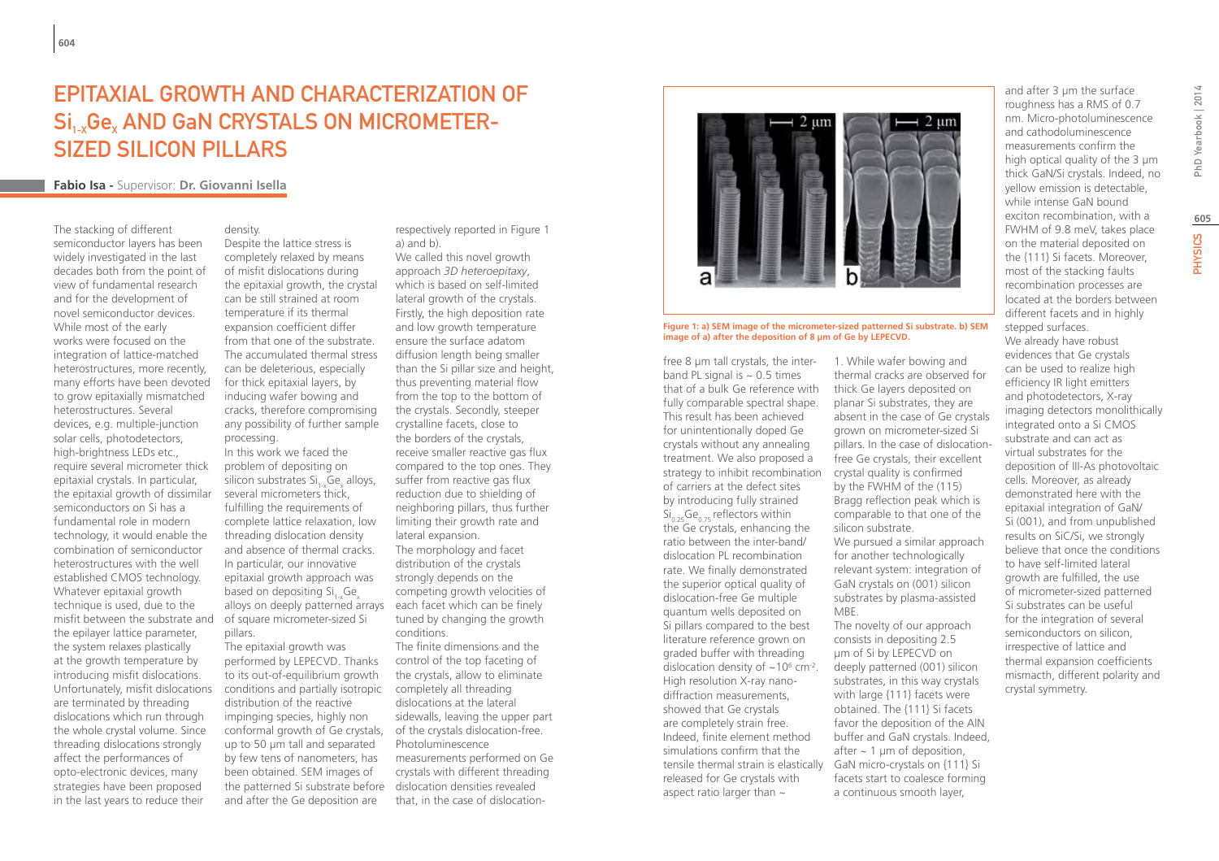# Epitaxial growth and characterization of  $\overline{\text{Si}_{1\times}}\text{Ge}_{x}$  AND GaN CRYSTALS ON MICROMETERsized silicon pillars

density.

processing.

### **Fabio Isa -** Supervisor: **Dr. Giovanni Isella**

The stacking of different semiconductor layers has been widely investigated in the last decades both from the point of view of fundamental research and for the development of novel semiconductor devices. While most of the early works were focused on the integration of lattice-matched heterostructures, more recently, many efforts have been devoted to grow epitaxially mismatched heterostructures. Several devices, e.g. multiple-junction solar cells, photodetectors, high-brightness LEDs etc., require several micrometer thick epitaxial crystals. In particular, the epitaxial growth of dissimilar semiconductors on Si has a fundamental role in modern technology, it would enable the combination of semiconductor heterostructures with the well established CMOS technology. Whatever epitaxial growth technique is used, due to the misfit between the substrate and the epilayer lattice parameter, the system relaxes plastically at the growth temperature by introducing misfit dislocations. Unfortunately, misfit dislocations are terminated by threading dislocations which run through the whole crystal volume. Since threading dislocations strongly affect the performances of opto-electronic devices, many strategies have been proposed in the last years to reduce their

Despite the lattice stress is completely relaxed by means of misfit dislocations during the epitaxial growth, the crystal can be still strained at room temperature if its thermal expansion coefficient differ from that one of the substrate. The accumulated thermal stress can be deleterious, especially for thick epitaxial layers, by inducing wafer bowing and cracks, therefore compromising any possibility of further sample

In this work we faced the problem of depositing on silicon substrates Si<sub>1-x</sub>Ge<sub>x</sub> alloys, several micrometers thick, fulfilling the requirements of complete lattice relaxation, low threading dislocation density and absence of thermal cracks. In particular, our innovative epitaxial growth approach was based on depositing Si. Ge alloys on deeply patterned arrays of square micrometer-sized Si pillars.

The epitaxial growth was performed by LEPECVD. Thanks to its out-of-equilibrium growth conditions and partially isotropic distribution of the reactive impinging species, highly non conformal growth of Ge crystals, of the crystals dislocation-free. up to 50 µm tall and separated by few tens of nanometers, has been obtained. SEM images of the patterned Si substrate before dislocation densities revealed and after the Ge deposition are

respectively reported in Figure 1 a) and b).

We called this novel growth approach *3D heteroepitaxy*, which is based on self-limited lateral growth of the crystals. Firstly, the high deposition rate and low growth temperature ensure the surface adatom diffusion length being smaller than the Si pillar size and height, thus preventing material flow from the top to the bottom of the crystals. Secondly, steeper crystalline facets, close to the borders of the crystals, receive smaller reactive gas flux compared to the top ones. They suffer from reactive gas flux reduction due to shielding of neighboring pillars, thus further limiting their growth rate and lateral expansion. The morphology and facet distribution of the crystals strongly depends on the competing growth velocities of each facet which can be finely tuned by changing the growth conditions. The finite dimensions and the

control of the top faceting of the crystals, allow to eliminate completely all threading dislocations at the lateral sidewalls, leaving the upper part Photoluminescence

measurements performed on Ge crystals with different threading that, in the case of dislocation-



### **Figure 1: a) SEM image of the micrometer-sized patterned Si substrate. b) SEM image of a) after the deposition of 8 µm of Ge by LEPECVD.**

free 8 um tall crystals, the interband PL signal is  $\sim 0.5$  times that of a bulk Ge reference with fully comparable spectral shape. This result has been achieved for unintentionally doped Ge crystals without any annealing treatment. We also proposed a strategy to inhibit recombination of carriers at the defect sites by introducing fully strained  $\mathrm{Si}_{0.25}\mathrm{Ge}_{0.75}$  reflectors within the Ge crystals, enhancing the ratio between the inter-band/ dislocation PL recombination rate. We finally demonstrated the superior optical quality of dislocation-free Ge multiple quantum wells deposited on Si pillars compared to the best literature reference grown on graded buffer with threading dislocation density of  $\sim$ 10 $\degree$  cm<sup>-2</sup>. High resolution X-ray nanodiffraction measurements, showed that Ge crystals are completely strain free. Indeed, finite element method simulations confirm that the tensile thermal strain is elastically GaN micro-crystals on {111} Si released for Ge crystals with aspect ratio larger than  $\sim$ 

1. While wafer bowing and thermal cracks are observed for thick Ge layers deposited on planar Si substrates, they are absent in the case of Ge crystals grown on micrometer-sized Si pillars. In the case of dislocationfree Ge crystals, their excellent crystal quality is confirmed by the FWHM of the (115) Bragg reflection peak which is comparable to that one of the silicon substrate. We pursued a similar approach for another technologically relevant system: integration of GaN crystals on (001) silicon substrates by plasma-assisted MBE. The novelty of our approach consists in depositing 2.5 µm of Si by LEPECVD on deeply patterned (001) silicon

substrates, in this way crystals with large {111} facets were obtained. The {111} Si facets favor the deposition of the AlN buffer and GaN crystals. Indeed, after  $\sim$  1 µm of deposition, facets start to coalesce forming a continuous smooth layer,

roughness has a RMS of 0.7 nm. Micro-photoluminescence and cathodoluminescence measurements confirm the high optical quality of the 3 µm thick GaN/Si crystals. Indeed, no yellow emission is detectable, while intense GaN bound exciton recombination, with a FWHM of 9.8 meV, takes place on the material deposited on the {111} Si facets. Moreover, most of the stacking faults recombination processes are located at the borders between different facets and in highly stepped surfaces. We already have robust evidences that Ge crystals can be used to realize high efficiency IR light emitters and photodetectors, X-ray imaging detectors monolithically integrated onto a Si CMOS substrate and can act as virtual substrates for the deposition of III-As photovoltaic cells. Moreover, as already demonstrated here with the epitaxial integration of GaN/ Si (001), and from unpublished results on SiC/Si, we strongly believe that once the conditions to have self-limited lateral growth are fulfilled, the use of micrometer-sized patterned Si substrates can be useful for the integration of several semiconductors on silicon, irrespective of lattice and thermal expansion coefficients mismacth, different polarity and crystal symmetry.

and after 3 µm the surface

**605**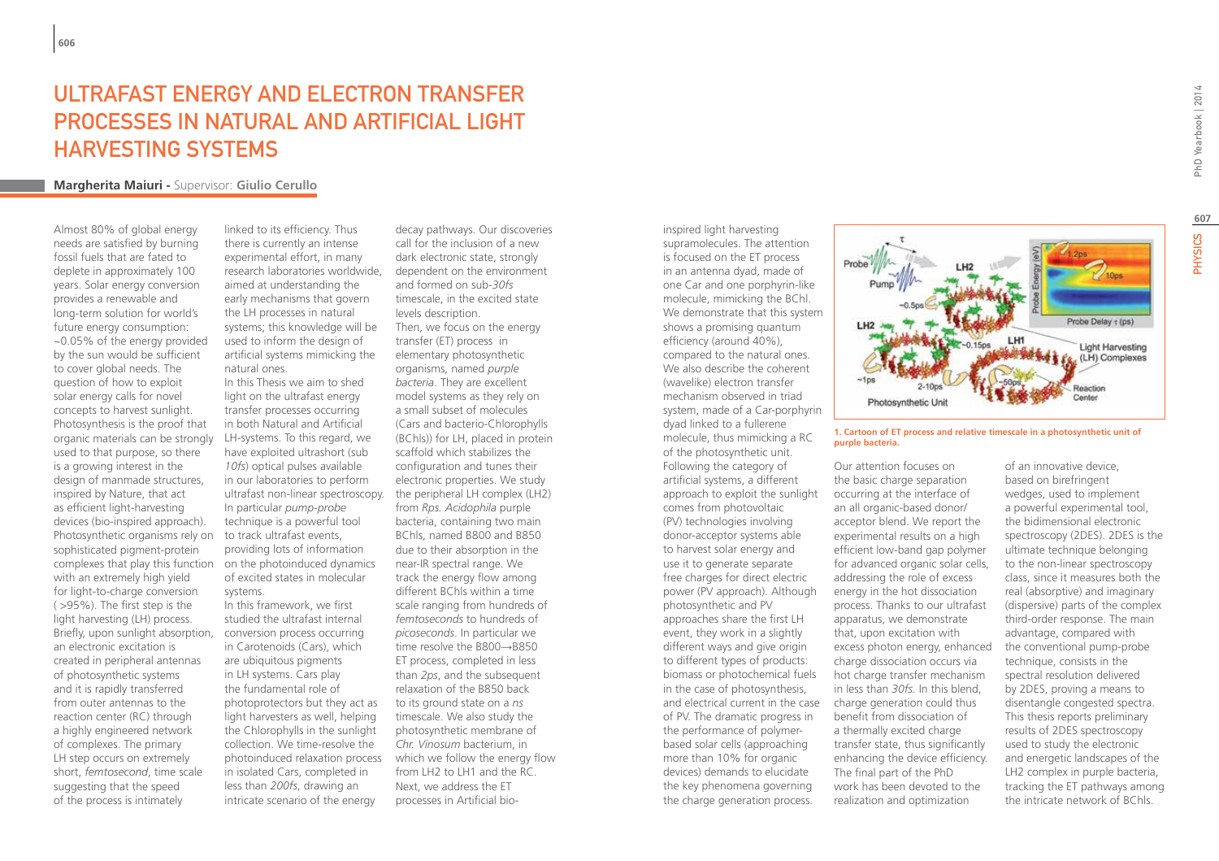# UI TRAFAST ENFRGY AND EL FCTRON TRANSFER Processes in Natural and Artificial Light Harvesting Systems

### **Margherita Maiuri -** Supervisor: **Giulio Cerullo**

Almost 80% of global energy needs are satisfied by burning fossil fuels that are fated to deplete in approximately 100 years. Solar energy conversion provides a renewable and long-term solution for world's future energy consumption: ~0.05% of the energy provided by the sun would be sufficient to cover global needs. The question of how to exploit solar energy calls for novel concepts to harvest sunlight. Photosynthesis is the proof that organic materials can be strongly used to that purpose, so there is a growing interest in the design of manmade structures, inspired by Nature, that act as efficient light-harvesting devices (bio-inspired approach). Photosynthetic organisms rely on sophisticated pigment-protein complexes that play this function with an extremely high yield for light-to-charge conversion ( >95%). The first step is the light harvesting (LH) process. Briefly, upon sunlight absorption, an electronic excitation is created in peripheral antennas of photosynthetic systems and it is rapidly transferred from outer antennas to the reaction center (RC) through a highly engineered network of complexes. The primary LH step occurs on extremely short, *femtosecond*, time scale suggesting that the speed of the process is intimately

linked to its efficiency. Thus there is currently an intense experimental effort, in many research laboratories worldwide, aimed at understanding the early mechanisms that govern the LH processes in natural systems; this knowledge will be used to inform the design of artificial systems mimicking the natural ones.

In this Thesis we aim to shed light on the ultrafast energy transfer processes occurring in both Natural and Artificial LH-systems. To this regard, we have exploited ultrashort (sub *10fs*) optical pulses available in our laboratories to perform ultrafast non-linear spectroscopy. In particular *pump-probe* technique is a powerful tool to track ultrafast events, providing lots of information on the photoinduced dynamics of excited states in molecular systems.

In this framework, we first studied the ultrafast internal conversion process occurring in Carotenoids (Cars), which are ubiquitous pigments in LH systems. Cars play the fundamental role of photoprotectors but they act as light harvesters as well, helping the Chlorophylls in the sunlight collection. We time-resolve the photoinduced relaxation process in isolated Cars, completed in less than *200fs*, drawing an intricate scenario of the energy

decay pathways. Our discoveries call for the inclusion of a new dark electronic state, strongly dependent on the environment and formed on sub-*30fs* timescale, in the excited state levels description. Then, we focus on the energy transfer (ET) process in elementary photosynthetic organisms, named *purple bacteria*. They are excellent model systems as they rely on a small subset of molecules (Cars and bacterio-Chlorophylls (BChls)) for LH, placed in protein scaffold which stabilizes the configuration and tunes their electronic properties. We study the peripheral LH complex (LH2) from *Rps. Acidophila* purple bacteria, containing two main BChls, named B800 and B850 due to their absorption in the near-IR spectral range. We track the energy flow among different BChls within a time scale ranging from hundreds of *femtoseconds* to hundreds of *picoseconds*. In particular we time resolve the B800→B850 ET process, completed in less than *2ps*, and the subsequent relaxation of the B850 back to its ground state on a *ns* timescale. We also study the photosynthetic membrane of *Chr. Vinosum* bacterium, in which we follow the energy flow from LH2 to LH1 and the RC. Next, we address the ET processes in Artificial bio-

inspired light harvesting supramolecules. The attention is focused on the ET process in an antenna dyad, made of one Car and one porphyrin-like molecule, mimicking the BChl. We demonstrate that this system shows a promising quantum efficiency (around 40%), compared to the natural ones. We also describe the coherent (wavelike) electron transfer mechanism observed in triad system, made of a Car-porphyrin dyad linked to a fullerene molecule, thus mimicking a RC of the photosynthetic unit. Following the category of artificial systems, a different approach to exploit the sunlight comes from photovoltaic (PV) technologies involving donor-acceptor systems able to harvest solar energy and use it to generate separate free charges for direct electric power (PV approach). Although photosynthetic and PV approaches share the first LH event, they work in a slightly different ways and give origin to different types of products: biomass or photochemical fuels in the case of photosynthesis, and electrical current in the case of PV. The dramatic progress in the performance of polymerbased solar cells (approaching more than 10% for organic devices) demands to elucidate the key phenomena governing the charge generation process.



### **1. Cartoon of ET process and relative timescale in a photosynthetic unit of purple bacteria.**

Our attention focuses on the basic charge separation occurring at the interface of an all organic-based donor/ acceptor blend. We report the experimental results on a high efficient low-band gap polymer for advanced organic solar cells, addressing the role of excess energy in the hot dissociation process. Thanks to our ultrafast apparatus, we demonstrate that, upon excitation with excess photon energy, enhanced charge dissociation occurs via hot charge transfer mechanism in less than *30fs.* In this blend, charge generation could thus benefit from dissociation of a thermally excited charge transfer state, thus significantly enhancing the device efficiency. The final part of the PhD work has been devoted to the realization and optimization

of an innovative device, based on birefringent wedges, used to implement a powerful experimental tool, the bidimensional electronic spectroscopy (2DES). 2DES is the ultimate technique belonging to the non-linear spectroscopy class, since it measures both the real (absorptive) and imaginary (dispersive) parts of the complex third-order response. The main advantage, compared with the conventional pump-probe technique, consists in the spectral resolution delivered by 2DES, proving a means to disentangle congested spectra. This thesis reports preliminary results of 2DES spectroscopy used to study the electronic and energetic landscapes of the LH2 complex in purple bacteria, tracking the ET pathways among the intricate network of BChls.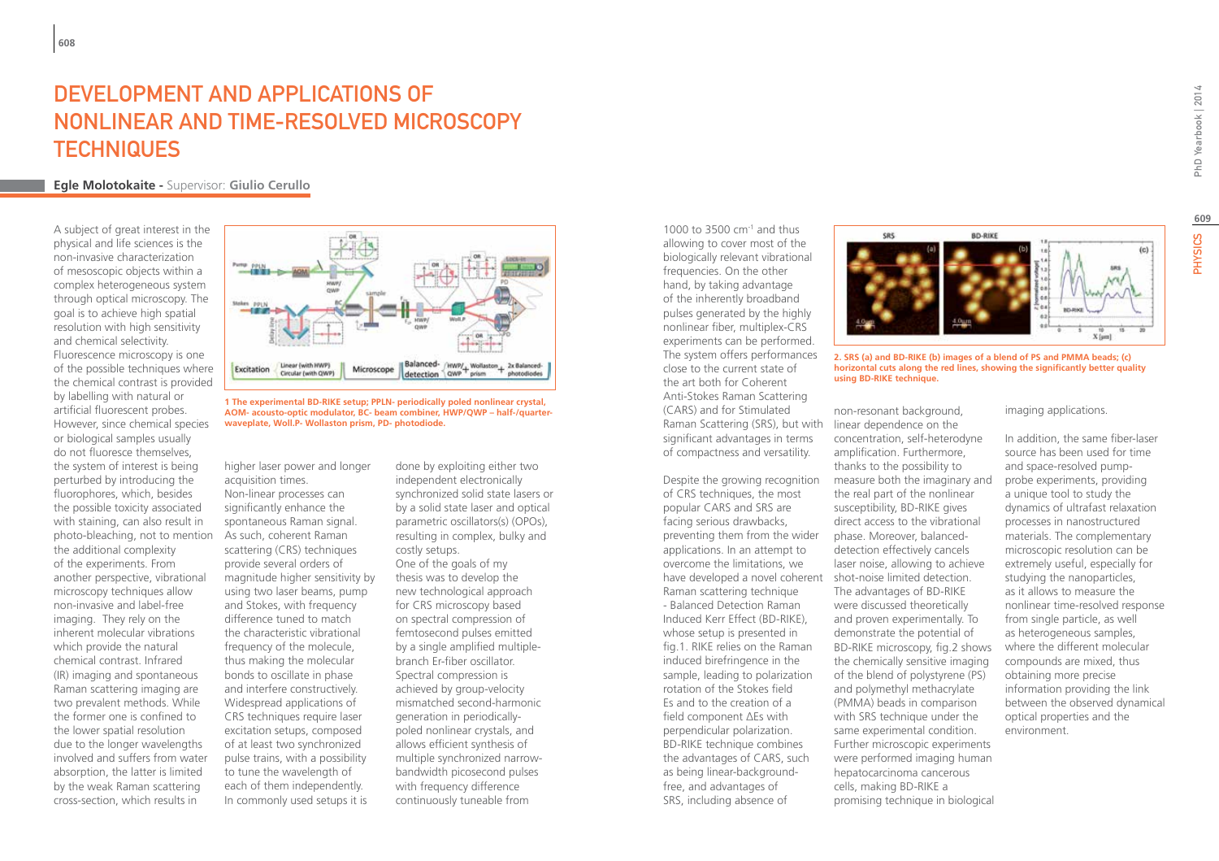# DEVELOPMENT AND APPLICATIONS OF Nonlinear and Time-Resolved Microscopy **TECHNIQUES**

# **Egle Molotokaite -** Supervisor: **Giulio Cerullo**

A subject of great interest in the physical and life sciences is the non-invasive characterization of mesoscopic objects within a complex heterogeneous system through optical microscopy. The goal is to achieve high spatial resolution with high sensitivity and chemical selectivity. Fluorescence microscopy is one of the possible techniques where the chemical contrast is provided by labelling with natural or artificial fluorescent probes. However, since chemical species or biological samples usually do not fluoresce themselves, the system of interest is being perturbed by introducing the fluorophores, which, besides the possible toxicity associated with staining, can also result in photo-bleaching, not to mention the additional complexity of the experiments. From another perspective, vibrational microscopy techniques allow non-invasive and label-free imaging. They rely on the inherent molecular vibrations which provide the natural chemical contrast. Infrared (IR) imaging and spontaneous Raman scattering imaging are two prevalent methods. While the former one is confined to the lower spatial resolution due to the longer wavelengths involved and suffers from water absorption, the latter is limited by the weak Raman scattering cross-section, which results in



**1 The experimental BD-RIKE setup; PPLN- periodically poled nonlinear crystal, AOM- acousto-optic modulator, BC- beam combiner, HWP/QWP – half-/quarterwaveplate, Woll.P- Wollaston prism, PD- photodiode.**

higher laser power and longer acquisition times. Non-linear processes can significantly enhance the spontaneous Raman signal. As such, coherent Raman scattering (CRS) techniques provide several orders of magnitude higher sensitivity by using two laser beams, pump and Stokes, with frequency difference tuned to match the characteristic vibrational frequency of the molecule, thus making the molecular bonds to oscillate in phase and interfere constructively. Widespread applications of CRS techniques require laser excitation setups, composed of at least two synchronized pulse trains, with a possibility to tune the wavelength of each of them independently. In commonly used setups it is

done by exploiting either two independent electronically synchronized solid state lasers or by a solid state laser and optical parametric oscillators(s) (OPOs), resulting in complex, bulky and costly setups.

One of the goals of my thesis was to develop the new technological approach for CRS microscopy based on spectral compression of femtosecond pulses emitted by a single amplified multiplebranch Er-fiber oscillator. Spectral compression is achieved by group-velocity mismatched second-harmonic generation in periodicallypoled nonlinear crystals, and allows efficient synthesis of multiple synchronized narrowbandwidth picosecond pulses with frequency difference continuously tuneable from

1000 to 3500 cm-1 and thus allowing to cover most of the biologically relevant vibrational frequencies. On the other hand, by taking advantage of the inherently broadband pulses generated by the highly nonlinear fiber, multiplex-CRS experiments can be performed. The system offers performances close to the current state of the art both for Coherent Anti-Stokes Raman Scattering (CARS) and for Stimulated Raman Scattering (SRS), but with significant advantages in terms of compactness and versatility.

Despite the growing recognition of CRS techniques, the most popular CARS and SRS are facing serious drawbacks, preventing them from the wider applications. In an attempt to overcome the limitations, we have developed a novel coherent shot-noise limited detection. Raman scattering technique - Balanced Detection Raman Induced Kerr Effect (BD-RIKE), whose setup is presented in fig.1. RIKE relies on the Raman induced birefringence in the sample, leading to polarization rotation of the Stokes field Es and to the creation of a field component ΔEs with perpendicular polarization. BD-RIKE technique combines the advantages of CARS, such as being linear-backgroundfree, and advantages of SRS, including absence of



**2. SRS (a) and BD-RIKE (b) images of a blend of PS and PMMA beads; (c) horizontal cuts along the red lines, showing the significantly better quality using BD-RIKE technique.**

non-resonant background, linear dependence on the concentration, self-heterodyne amplification. Furthermore. thanks to the possibility to measure both the imaginary and the real part of the nonlinear susceptibility, BD-RIKE gives direct access to the vibrational phase. Moreover, balanceddetection effectively cancels laser noise, allowing to achieve The advantages of BD-RIKE were discussed theoretically and proven experimentally. To demonstrate the potential of BD-RIKE microscopy, fig.2 shows the chemically sensitive imaging of the blend of polystyrene (PS) and polymethyl methacrylate (PMMA) beads in comparison with SRS technique under the same experimental condition. Further microscopic experiments were performed imaging human hepatocarcinoma cancerous cells, making BD-RIKE a promising technique in biological

### imaging applications.

In addition, the same fiber-laser source has been used for time and space-resolved pumpprobe experiments, providing a unique tool to study the dynamics of ultrafast relaxation processes in nanostructured materials. The complementary microscopic resolution can be extremely useful, especially for studying the nanoparticles, as it allows to measure the nonlinear time-resolved response from single particle, as well as heterogeneous samples, where the different molecular compounds are mixed, thus obtaining more precise information providing the link between the observed dynamical optical properties and the environment.

**609**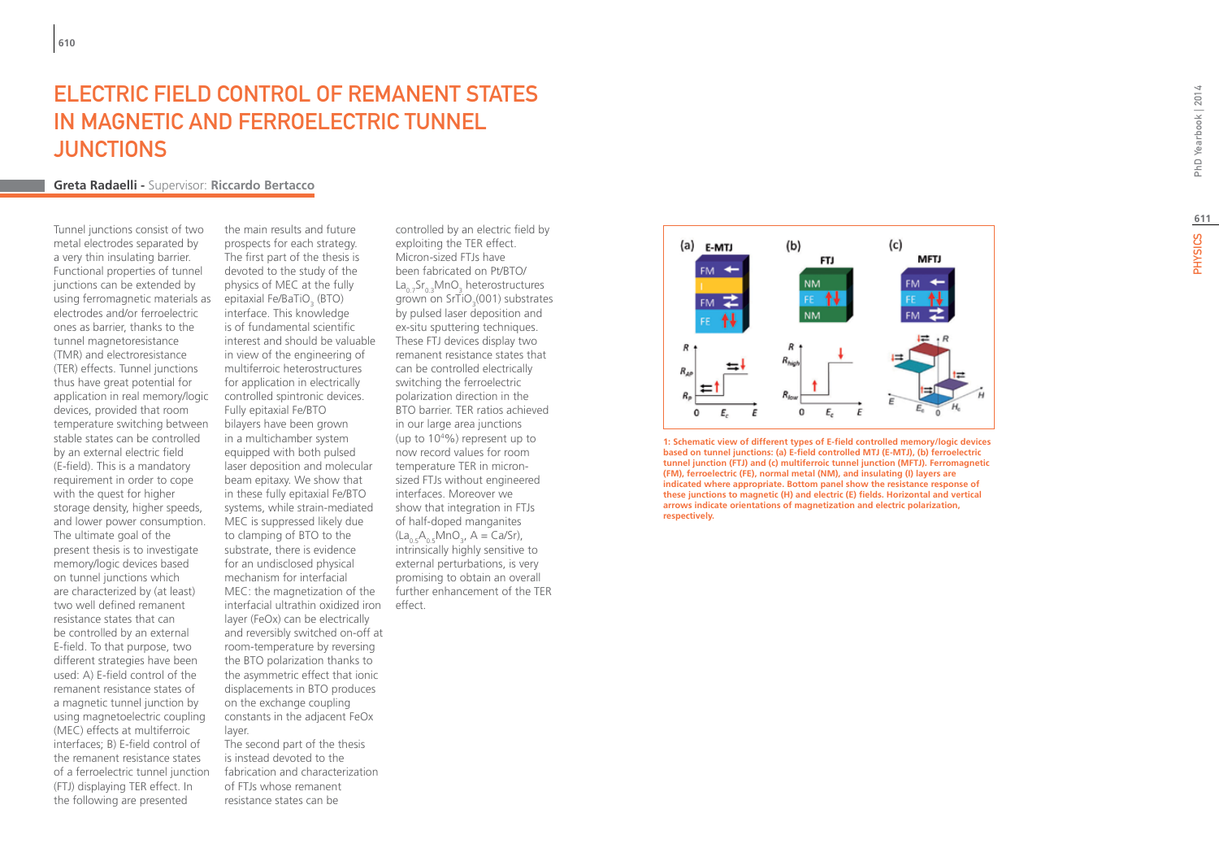# PhD Yearbook | 2014 PHYSICS 2014

# ELECTRIC FIELD CONTROL OF REMANENT STATE s IN MAGNETIC AND FERROELECTRIC TUNNE t **JUNCTIONS**

# **Greta Radaelli -** Supervisor: **Riccardo Bertacco**

Tunnel junctions consist of two metal electrodes separated by a very thin insulating barrier. Functional properties of tunnel junctions can be extended by using ferromagnetic materials as electrodes and/or ferroelectric ones as barrier, thanks to the tunnel magnetoresistance (TMR) and electroresistance (TER) effects. Tunnel junctions thus have great potential for application in real memory/logic devices, provided that room temperature switching between stable states can be controlled by an external electric field (E-field). This is a mandatory requirement in order to cope with the quest for higher storage density, higher speeds, and lower power consumption. The ultimate goal of the present thesis is to investigate memory/logic devices based on tunnel junctions which are characterized by (at least) two well defined remanent resistance states that can be controlled by an external E-field. To that purpose, two different strategies have been used: A) E-field control of the remanent resistance states of a magnetic tunnel junction by using magnetoelectric coupling (MEC) effects at multiferroic interfaces; B) E-field control of the remanent resistance states of a ferroelectric tunnel junction (FTJ) displaying TER effect. In the following are presented

the main results and future prospects for each strategy. The first part of the thesis is devoted to the study of the physics of MEC at the fully epitaxial Fe/BaTiO (BTO) interface. This knowledge is of fundamental scientific interest and should be valuable in view of the engineering of multiferroic heterostructures for application in electrically controlled spintronic devices. Fully epitaxial Fe/BTO bilayers have been grown in a multichamber system equipped with both pulsed laser deposition and molecular beam epitaxy. We show that in these fully epitaxial Fe/BTO systems, while strain-mediated MEC is suppressed likely due to clamping of BTO to the substrate, there is evidence for an undisclosed physical mechanism for interfacial MEC: the magnetization of the interfacial ultrathin oxidized iron effect. layer (FeOx) can be electrically and reversibly switched on-off at room-temperature by reversing the BTO polarization thanks to the asymmetric effect that ionic displacements in BTO produces on the exchange coupling constants in the adjacent FeOx layer. The second part of the thesis

is instead devoted to the fabrication and characterization of FTJs whose remanent resistance states can be

controlled by an electric field by exploiting the TER effect. Micron-sized FTJs have been fabricated on Pt/BTO/ La<sub>0.7</sub>Sr<sub>0.3</sub>MnO<sub>3</sub> heterostructures  $\frac{20}{3}$ ,  $\frac{3}{3}$ ,  $\frac{3}{3}$ ,  $\frac{3}{3}$ ,  $\frac{3}{3}$ ,  $\frac{3}{3}$ ,  $\frac{3}{3}$ ,  $\frac{3}{3}$ ,  $\frac{3}{3}$ ,  $\frac{3}{3}$ ,  $\frac{3}{3}$ ,  $\frac{3}{3}$ ,  $\frac{3}{3}$ ,  $\frac{3}{3}$ ,  $\frac{3}{3}$ ,  $\frac{3}{3}$ ,  $\frac{3}{3}$ ,  $\frac{3}{3}$ ,  $\frac{3}{3}$ ,  $\frac{3}{3}$ , grown on princ<sub>3</sub>, servestimed.<br>By pulsed laser deposition and ex-situ sputtering techniques. These FTJ devices display two remanent resistance states that can be controlled electrically switching the ferroelectric polarization direction in the BTO barrier. TER ratios achieved in our large area junctions (up to 10 4 %) represent up to now record values for room temperature TER in micronsized FTJs without engineered interfaces. Moreover we show that integration in FTJs of half-doped manganites  $(La_{0.5}A_{0.5}MnO_3, A = Ca/Sr),$ (Eq<sub>0.5</sub>, '<sub>0.5</sub>, 'mol<sub>3</sub>,',' and equiptive to<br>intrinsically highly sensitive to external perturbations, is very promising to obtain an overall further enhancement of the TER



**1: Schematic view of different types of E-field controlled memory/logic devices based on tunnel junctions: (a) E-field controlled MTJ (E-MTJ), (b) ferroelectric tunnel junction (FTJ) and (c) multiferroic tunnel junction (MFTJ). Ferromagnetic (FM), ferroelectric (FE), normal metal (NM), and insulating (I) layers are indicated where appropriate. Bottom panel show the resistance response of these junctions to magnetic (H) and electric (E) fields. Horizontal and vertical arrows indicate orientations of magnetization and electric polarization, respectively.**